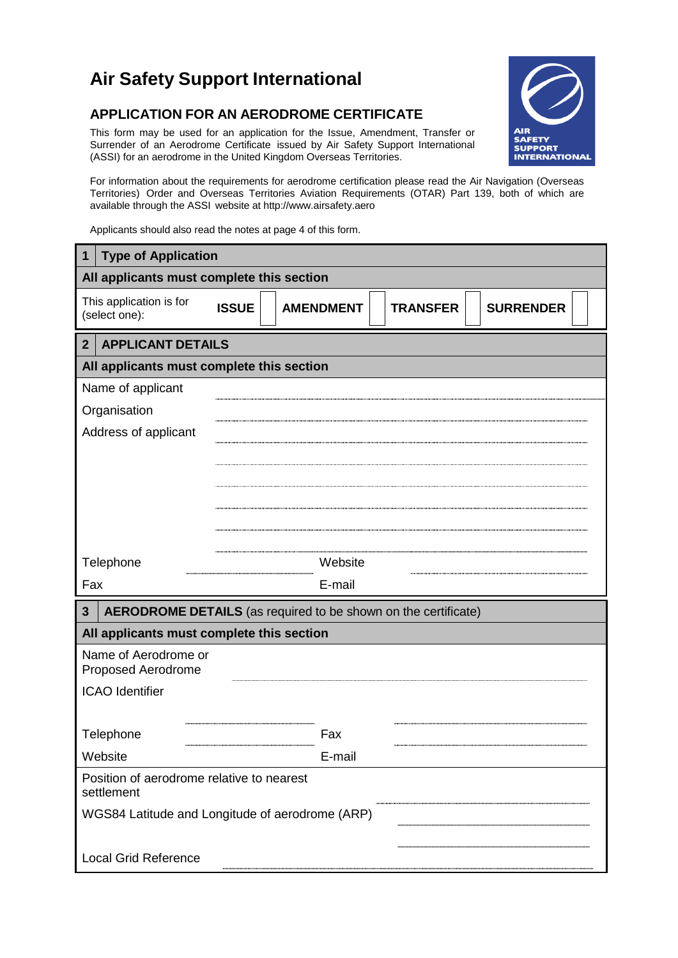## **Air Safety Support International**

## **APPLICATION FOR AN AERODROME CERTIFICATE**

This form may be used for an application for the Issue, Amendment, Transfer or Surrender of an Aerodrome Certificate issued by Air Safety Support International (ASSI) for an aerodrome in the United Kingdom Overseas Territories.



For information about the requirements for aerodrome certification please read the Air Navigation (Overseas Territories) Order and Overseas Territories Aviation Requirements (OTAR) Part 139, both of which are available through the ASSI website a[t http://www.airsafety.aero](http://www.airsafety.aero/)

Applicants should also read the notes at page 4 of this form.

| 1                                                       | <b>Type of Application</b> |                                                                |                 |                  |  |  |  |  |
|---------------------------------------------------------|----------------------------|----------------------------------------------------------------|-----------------|------------------|--|--|--|--|
| All applicants must complete this section               |                            |                                                                |                 |                  |  |  |  |  |
| This application is for<br>(select one):                | <b>ISSUE</b>               | <b>AMENDMENT</b>                                               | <b>TRANSFER</b> | <b>SURRENDER</b> |  |  |  |  |
| <b>APPLICANT DETAILS</b><br>$\mathbf{2}$                |                            |                                                                |                 |                  |  |  |  |  |
| All applicants must complete this section               |                            |                                                                |                 |                  |  |  |  |  |
| Name of applicant                                       |                            |                                                                |                 |                  |  |  |  |  |
| Organisation                                            |                            |                                                                |                 |                  |  |  |  |  |
| Address of applicant                                    |                            |                                                                |                 |                  |  |  |  |  |
|                                                         |                            |                                                                |                 |                  |  |  |  |  |
|                                                         |                            |                                                                |                 |                  |  |  |  |  |
|                                                         |                            |                                                                |                 |                  |  |  |  |  |
|                                                         |                            |                                                                |                 |                  |  |  |  |  |
|                                                         |                            |                                                                |                 |                  |  |  |  |  |
| Telephone                                               |                            | Website                                                        |                 |                  |  |  |  |  |
| Fax                                                     |                            | E-mail                                                         |                 |                  |  |  |  |  |
| $\mathbf{3}$                                            |                            | AERODROME DETAILS (as required to be shown on the certificate) |                 |                  |  |  |  |  |
| All applicants must complete this section               |                            |                                                                |                 |                  |  |  |  |  |
| Name of Aerodrome or<br>Proposed Aerodrome              |                            |                                                                |                 |                  |  |  |  |  |
| <b>ICAO</b> Identifier                                  |                            |                                                                |                 |                  |  |  |  |  |
|                                                         |                            |                                                                |                 |                  |  |  |  |  |
| Telephone                                               |                            | Fax                                                            |                 |                  |  |  |  |  |
| Website                                                 |                            | E-mail                                                         |                 |                  |  |  |  |  |
| Position of aerodrome relative to nearest<br>settlement |                            |                                                                |                 |                  |  |  |  |  |
| WGS84 Latitude and Longitude of aerodrome (ARP)         |                            |                                                                |                 |                  |  |  |  |  |
|                                                         |                            |                                                                |                 |                  |  |  |  |  |
| <b>Local Grid Reference</b>                             |                            |                                                                |                 |                  |  |  |  |  |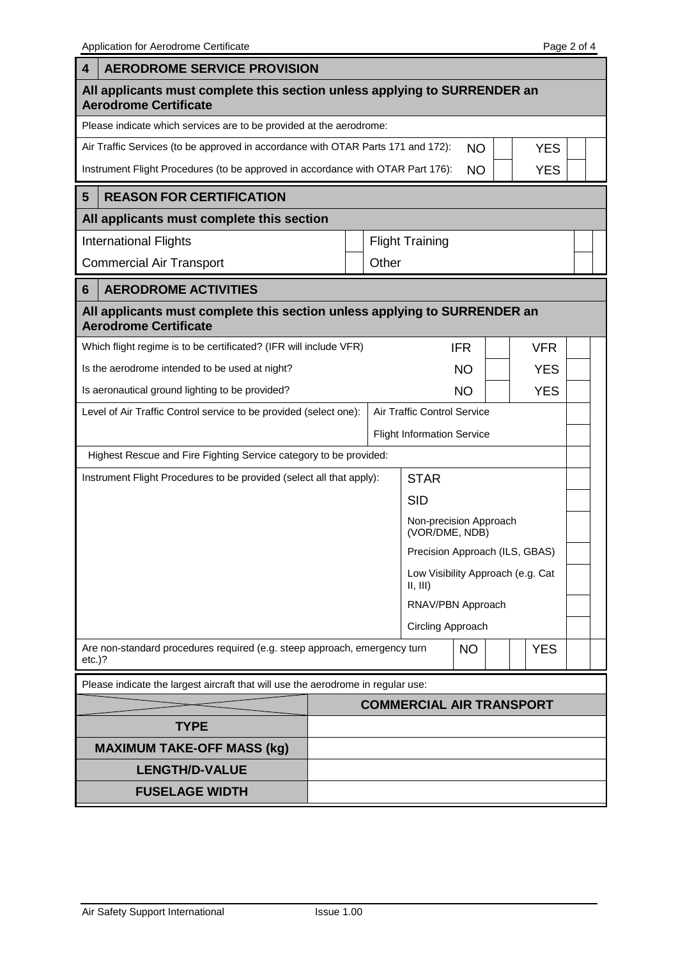Application for Aerodrome Certificate **Page 2 of 4** Application for Aerodrome Certificate

F

| 4                                                                                                           | <b>AERODROME SERVICE PROVISION</b>                                                                         |                                 |  |                                              |  |  |            |  |  |
|-------------------------------------------------------------------------------------------------------------|------------------------------------------------------------------------------------------------------------|---------------------------------|--|----------------------------------------------|--|--|------------|--|--|
| All applicants must complete this section unless applying to SURRENDER an<br><b>Aerodrome Certificate</b>   |                                                                                                            |                                 |  |                                              |  |  |            |  |  |
|                                                                                                             | Please indicate which services are to be provided at the aerodrome:                                        |                                 |  |                                              |  |  |            |  |  |
| Air Traffic Services (to be approved in accordance with OTAR Parts 171 and 172):<br><b>NO</b><br><b>YES</b> |                                                                                                            |                                 |  |                                              |  |  |            |  |  |
|                                                                                                             | Instrument Flight Procedures (to be approved in accordance with OTAR Part 176):<br><b>YES</b><br><b>NO</b> |                                 |  |                                              |  |  |            |  |  |
| $\overline{\mathbf{5}}$                                                                                     | <b>REASON FOR CERTIFICATION</b>                                                                            |                                 |  |                                              |  |  |            |  |  |
|                                                                                                             | All applicants must complete this section                                                                  |                                 |  |                                              |  |  |            |  |  |
|                                                                                                             | <b>International Flights</b>                                                                               | <b>Flight Training</b>          |  |                                              |  |  |            |  |  |
| <b>Commercial Air Transport</b>                                                                             |                                                                                                            | Other                           |  |                                              |  |  |            |  |  |
| 6                                                                                                           | <b>AERODROME ACTIVITIES</b>                                                                                |                                 |  |                                              |  |  |            |  |  |
|                                                                                                             | All applicants must complete this section unless applying to SURRENDER an<br><b>Aerodrome Certificate</b>  |                                 |  |                                              |  |  |            |  |  |
|                                                                                                             | Which flight regime is to be certificated? (IFR will include VFR)                                          |                                 |  | <b>IFR</b>                                   |  |  | <b>VFR</b> |  |  |
| Is the aerodrome intended to be used at night?                                                              |                                                                                                            |                                 |  | <b>NO</b>                                    |  |  | <b>YES</b> |  |  |
| Is aeronautical ground lighting to be provided?                                                             |                                                                                                            |                                 |  | <b>NO</b>                                    |  |  | <b>YES</b> |  |  |
|                                                                                                             | Level of Air Traffic Control service to be provided (select one):<br>Air Traffic Control Service           |                                 |  |                                              |  |  |            |  |  |
|                                                                                                             |                                                                                                            |                                 |  | <b>Flight Information Service</b>            |  |  |            |  |  |
|                                                                                                             | Highest Rescue and Fire Fighting Service category to be provided:                                          |                                 |  |                                              |  |  |            |  |  |
|                                                                                                             | Instrument Flight Procedures to be provided (select all that apply):                                       |                                 |  | <b>STAR</b>                                  |  |  |            |  |  |
|                                                                                                             |                                                                                                            |                                 |  | <b>SID</b>                                   |  |  |            |  |  |
|                                                                                                             |                                                                                                            |                                 |  | Non-precision Approach<br>(VOR/DME, NDB)     |  |  |            |  |  |
|                                                                                                             |                                                                                                            |                                 |  | Precision Approach (ILS, GBAS)               |  |  |            |  |  |
|                                                                                                             |                                                                                                            |                                 |  | Low Visibility Approach (e.g. Cat<br>II, III |  |  |            |  |  |
|                                                                                                             |                                                                                                            |                                 |  | RNAV/PBN Approach                            |  |  |            |  |  |
|                                                                                                             |                                                                                                            |                                 |  | Circling Approach                            |  |  |            |  |  |
| $etc.$ )?                                                                                                   | Are non-standard procedures required (e.g. steep approach, emergency turn                                  |                                 |  | <b>NO</b>                                    |  |  | <b>YES</b> |  |  |
|                                                                                                             | Please indicate the largest aircraft that will use the aerodrome in regular use:                           |                                 |  |                                              |  |  |            |  |  |
|                                                                                                             |                                                                                                            | <b>COMMERCIAL AIR TRANSPORT</b> |  |                                              |  |  |            |  |  |
|                                                                                                             | <b>TYPE</b>                                                                                                |                                 |  |                                              |  |  |            |  |  |
|                                                                                                             | <b>MAXIMUM TAKE-OFF MASS (kg)</b>                                                                          |                                 |  |                                              |  |  |            |  |  |
|                                                                                                             | <b>LENGTH/D-VALUE</b>                                                                                      |                                 |  |                                              |  |  |            |  |  |
|                                                                                                             | <b>FUSELAGE WIDTH</b>                                                                                      |                                 |  |                                              |  |  |            |  |  |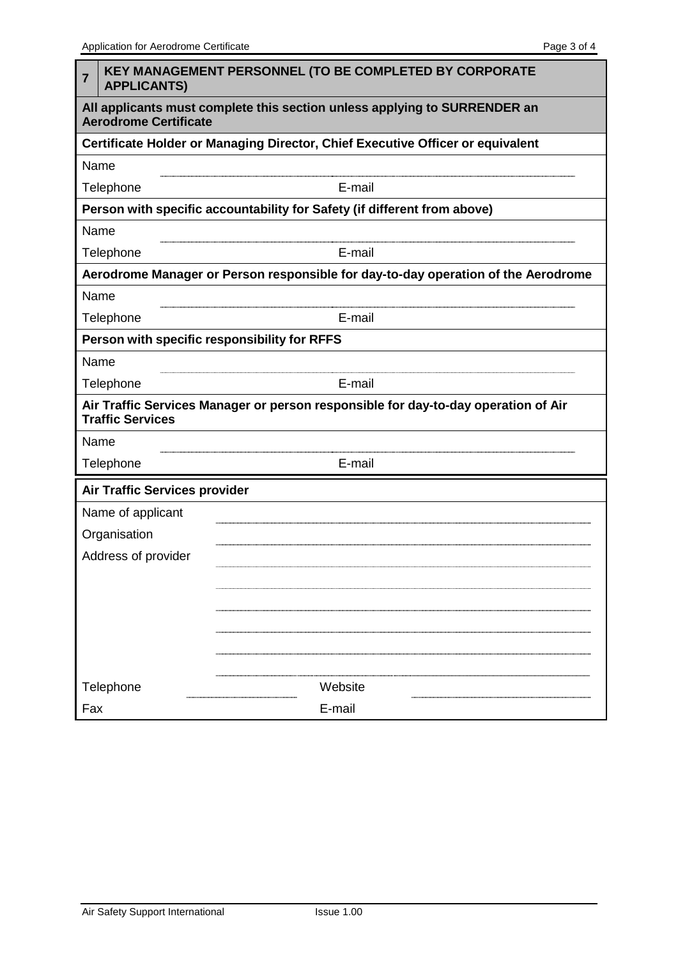| 7                                                                                                         | <b>KEY MANAGEMENT PERSONNEL (TO BE COMPLETED BY CORPORATE</b><br><b>APPLICANTS)</b> |  |  |  |  |  |  |
|-----------------------------------------------------------------------------------------------------------|-------------------------------------------------------------------------------------|--|--|--|--|--|--|
| All applicants must complete this section unless applying to SURRENDER an<br><b>Aerodrome Certificate</b> |                                                                                     |  |  |  |  |  |  |
|                                                                                                           | Certificate Holder or Managing Director, Chief Executive Officer or equivalent      |  |  |  |  |  |  |
| Name                                                                                                      |                                                                                     |  |  |  |  |  |  |
|                                                                                                           | Telephone<br>E-mail                                                                 |  |  |  |  |  |  |
|                                                                                                           | Person with specific accountability for Safety (if different from above)            |  |  |  |  |  |  |
| Name                                                                                                      |                                                                                     |  |  |  |  |  |  |
| E-mail<br>Telephone                                                                                       |                                                                                     |  |  |  |  |  |  |
|                                                                                                           | Aerodrome Manager or Person responsible for day-to-day operation of the Aerodrome   |  |  |  |  |  |  |
| Name                                                                                                      |                                                                                     |  |  |  |  |  |  |
| Telephone                                                                                                 | E-mail                                                                              |  |  |  |  |  |  |
|                                                                                                           | Person with specific responsibility for RFFS                                        |  |  |  |  |  |  |
| Name                                                                                                      |                                                                                     |  |  |  |  |  |  |
| Telephone                                                                                                 | E-mail                                                                              |  |  |  |  |  |  |
| <b>Traffic Services</b>                                                                                   | Air Traffic Services Manager or person responsible for day-to-day operation of Air  |  |  |  |  |  |  |
| Name                                                                                                      |                                                                                     |  |  |  |  |  |  |
| Telephone                                                                                                 | E-mail                                                                              |  |  |  |  |  |  |
|                                                                                                           | Air Traffic Services provider                                                       |  |  |  |  |  |  |
| Name of applicant                                                                                         |                                                                                     |  |  |  |  |  |  |
| Organisation                                                                                              |                                                                                     |  |  |  |  |  |  |
| Address of provider                                                                                       |                                                                                     |  |  |  |  |  |  |
|                                                                                                           |                                                                                     |  |  |  |  |  |  |
|                                                                                                           |                                                                                     |  |  |  |  |  |  |
|                                                                                                           |                                                                                     |  |  |  |  |  |  |
|                                                                                                           |                                                                                     |  |  |  |  |  |  |
|                                                                                                           |                                                                                     |  |  |  |  |  |  |
| Telephone                                                                                                 | Website                                                                             |  |  |  |  |  |  |
| Fax                                                                                                       | E-mail                                                                              |  |  |  |  |  |  |